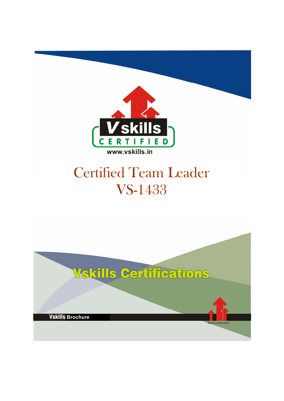

# Certified Team Leader VS-1433

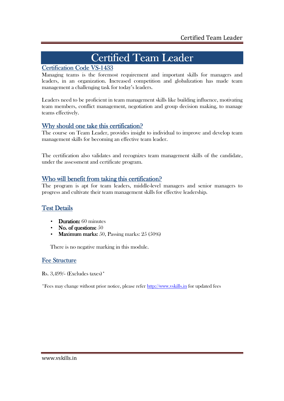# Certified Team Leader

## Certification Code VS-1433

Managing teams is the foremost requirement and important skills for managers and leaders, in an organization. Increased competition and globalization has made team management a challenging task for today's leaders.

Leaders need to be proficient in team management skills like building influence, motivating team members, conflict management, negotiation and group decision making, to manage teams effectively.

## Why should one take this certification?

The course on Team Leader, provides insight to individual to improve and develop team management skills for becoming an effective team leader.

The certification also validates and recognizes team management skills of the candidate, under the assessment and certificate program.

## Who will benefit from taking this certification?

The program is apt for team leaders, middle-level managers and senior managers to progress and cultivate their team management skills for effective leadership.

## **Test Details**

- Duration: 60 minutes
- No. of questions:  $50$
- Maximum marks:  $50$ , Passing marks:  $25(50\%)$

There is no negative marking in this module.

## Fee Structure

Rs. 3,499/- (Excludes taxes)\*

\*Fees may change without prior notice, please refer http://www.vskills.in for updated fees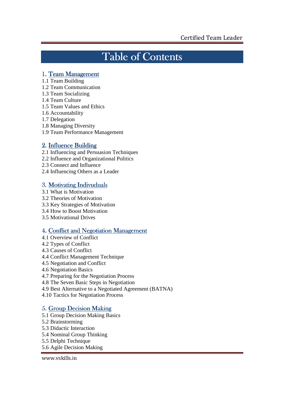## Table of Contents

## 1. Team Management

- 1.1 Team Building
- 1.2 Team Communication
- 1.3 Team Socializing
- 1.4 Team Culture
- 1.5 Team Values and Ethics
- 1.6 Accountability
- 1.7 Delegation
- 1.8 Managing Diversity
- 1.9 Team Performance Management

## 2. Influence Building

- 2.1 Influencing and Persuasion Techniques
- 2.2 Influence and Organizational Politics
- 2.3 Connect and Influence
- 2.4 Influencing Others as a Leader

## 3. Motivating Indivuduals

- 3.1 What is Motivation
- 3.2 Theories of Motivation
- 3.3 Key Strategies of Motivation
- 3.4 How to Boost Motivation
- 3.5 Motivational Drives

## 4. Conflict and Negotiation Management

- 4.1 Overview of Conflict
- 4.2 Types of Conflict
- 4.3 Causes of Conflict
- 4.4 Conflict Management Technique
- 4.5 Negotiation and Conflict
- 4.6 Negotiation Basics
- 4.7 Preparing for the Negotiation Process
- 4.8 The Seven Basic Steps in Negotiation
- 4.9 Best Alternative to a Negotiated Agreement (BATNA)
- 4.10 Tactics for Negotiation Process

## 5. Group Decision Making

- 5.1 Group Decision Making Basics
- 5.2 Brainstorming
- 5.3 Didactic Interaction
- 5.4 Nominal Group Thinking
- 5.5 Delphi Technique
- 5.6 Agile Decision Making

www.vskills.in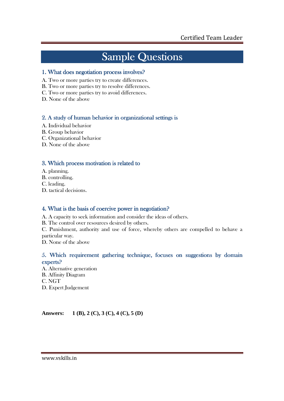## **Sample Questions**

### 1. What does negotiation process involves?

- A. Two or more parties try to create differences.
- B. Two or more parties try to resolve differences.
- C. Two or more parties try to avoid differences.
- D. None of the above

### 2. A study of human behavior in organizational settings is

- A. Individual behavior
- B. Group behavior
- C. Organizational behavior
- D. None of the above

### 3. Which process motivation is related to

- A. planning.
- B. controlling.
- C. leading.
- D. tactical decisions.

### 4. What is the basis of coercive power in negotiation?

- A. A capacity to seek information and consider the ideas of others.
- B. The control over resources desired by others.

C. Punishment, authority and use of force, whereby others are compelled to behave a particular way.

D. None of the above

## 5. Which requirement gathering technique, focuses on suggestions by domain experts?

A. Alternative generation B. Affinity Diagram C. NGT D. Expert Judgement

**Answers: 1 (B), 2 (C), 3 (C), 4 (C), 5 (D)**